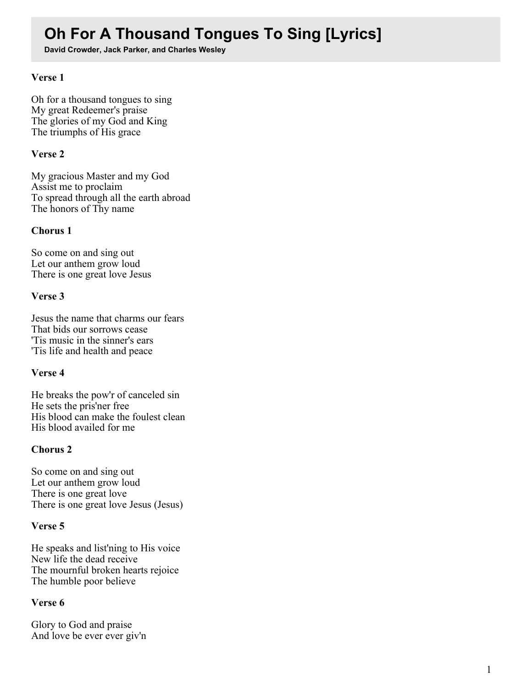# **Oh For A Thousand Tongues To Sing [Lyrics]**

**David Crowder, Jack Parker, and Charles Wesley**

## **Verse 1**

Oh for a thousand tongues to sing My great Redeemer's praise The glories of my God and King The triumphs of His grace

## **Verse 2**

My gracious Master and my God Assist me to proclaim To spread through all the earth abroad The honors of Thy name

### **Chorus 1**

So come on and sing out Let our anthem grow loud There is one great love Jesus

### **Verse 3**

Jesus the name that charms our fears That bids our sorrows cease 'Tis music in the sinner's ears 'Tis life and health and peace

# **Verse 4**

He breaks the pow'r of canceled sin He sets the pris'ner free His blood can make the foulest clean His blood availed for me

# **Chorus 2**

So come on and sing out Let our anthem grow loud There is one great love There is one great love Jesus (Jesus)

#### **Verse 5**

He speaks and list'ning to His voice New life the dead receive The mournful broken hearts rejoice The humble poor believe

#### **Verse 6**

Glory to God and praise And love be ever ever giv'n